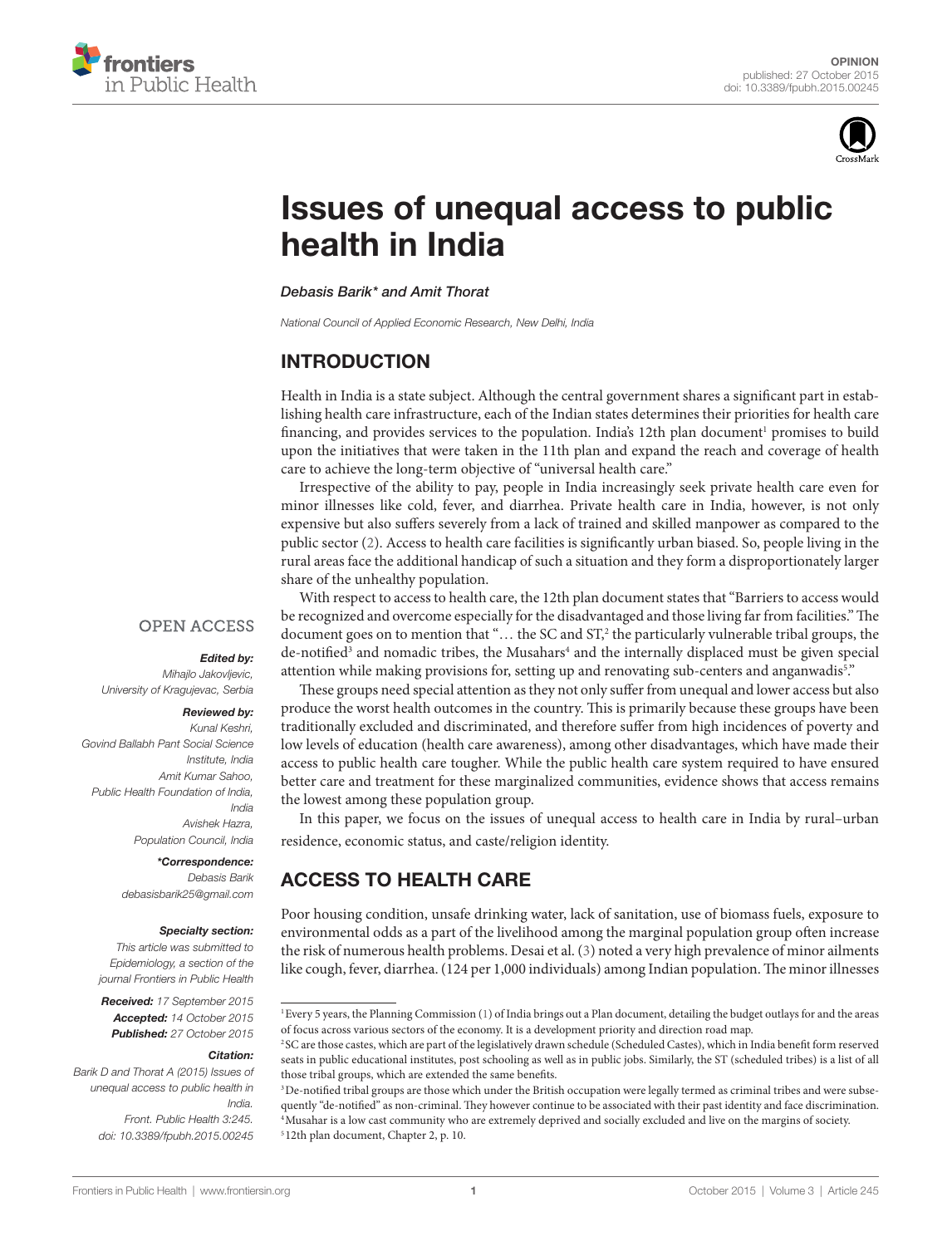



# **Issues of unequal access to public** health in India

*[Debasis Barik\\*](http://loop.frontiersin.org/people/255740/overview) and [Amit Thorat](http://loop.frontiersin.org/people/285487/overview)*

*National Council of Applied Economic Research, New Delhi, India*

## **INTRODUCTION**

Health in India is a state subject. Although the central government shares a significant part in establishing health care infrastructure, each of the Indian states determines their priorities for health care financing, and provides services to the population. India's 12th plan document<sup>1</sup> promises to build upon the initiatives that were taken in the 11th plan and expand the reach and coverage of health care to achieve the long-term objective of "universal health care."

Irrespective of the ability to pay, people in India increasingly seek private health care even for minor illnesses like cold, fever, and diarrhea. Private health care in India, however, is not only expensive but also suffers severely from a lack of trained and skilled manpower as compared to the public sector [\(2](#page-2-0)). Access to health care facilities is significantly urban biased. So, people living in the rural areas face the additional handicap of such a situation and they form a disproportionately larger share of the unhealthy population.

**OPEN ACCESS** 

#### *Edited by:*

*Mihajlo Jakovljevic, University of Kragujevac, Serbia*

#### *Reviewed by:*

*Kunal Keshri, Govind Ballabh Pant Social Science Institute, India Amit Kumar Sahoo, Public Health Foundation of India, India Avishek Hazra, Population Council, India*

> *\*Correspondence: Debasis Barik [debasisbarik25@gmail.com](mailto:debasisbarik25@gmail.com)*

#### *Specialty section:*

*This article was submitted to Epidemiology, a section of the journal Frontiers in Public Health*

*Received: 17 September 2015 Accepted: 14 October 2015 Published: 27 October 2015*

#### *Citation:*

*Barik D and Thorat A (2015) Issues of unequal access to public health in India. Front. Public Health 3:245. doi: [10.3389/fpubh.2015.00245](http://dx.doi.org/10.3389/fpubh.2015.00245)*

With respect to access to health care, the 12th plan document states that "Barriers to access would be recognized and overcome especially for the disadvantaged and those living far from facilities." The document goes on to mention that "... the SC and ST,<sup>2</sup> the particularly vulnerable tribal groups, the de-notified<sup>[3](#page-0-2)</sup> and nomadic tribes, the Musahars<sup>[4](#page-0-3)</sup> and the internally displaced must be given special attention while making provisions for, setting up and renovating sub-centers and anganwadis<sup>5</sup>."

These groups need special attention as they not only suffer from unequal and lower access but also produce the worst health outcomes in the country. This is primarily because these groups have been traditionally excluded and discriminated, and therefore suffer from high incidences of poverty and low levels of education (health care awareness), among other disadvantages, which have made their access to public health care tougher. While the public health care system required to have ensured better care and treatment for these marginalized communities, evidence shows that access remains the lowest among these population group.

In this paper, we focus on the issues of unequal access to health care in India by rural–urban residence, economic status, and caste/religion identity.

# ACCESS TO HEALTH CARE

Poor housing condition, unsafe drinking water, lack of sanitation, use of biomass fuels, exposure to environmental odds as a part of the livelihood among the marginal population group often increase the risk of numerous health problems. Desai et al. ([3](#page-2-1)) noted a very high prevalence of minor ailments like cough, fever, diarrhea. (124 per 1,000 individuals) among Indian population. The minor illnesses

<span id="page-0-0"></span><sup>1</sup>Every 5 years, the Planning Commission ([1](#page-2-2)) of India brings out a Plan document, detailing the budget outlays for and the areas of focus across various sectors of the economy. It is a development priority and direction road map.

<span id="page-0-1"></span><sup>2</sup> SC are those castes, which are part of the legislatively drawn schedule (Scheduled Castes), which in India benefit form reserved seats in public educational institutes, post schooling as well as in public jobs. Similarly, the ST (scheduled tribes) is a list of all those tribal groups, which are extended the same benefits.

<span id="page-0-4"></span><span id="page-0-3"></span><span id="page-0-2"></span><sup>&</sup>lt;sup>3</sup>De-notified tribal groups are those which under the British occupation were legally termed as criminal tribes and were subsequently "de-notified" as non-criminal. They however continue to be associated with their past identity and face discrimination. 4Musahar is a low cast community who are extremely deprived and socially excluded and live on the margins of society. <sup>5</sup> 12th plan document, Chapter 2, p. 10.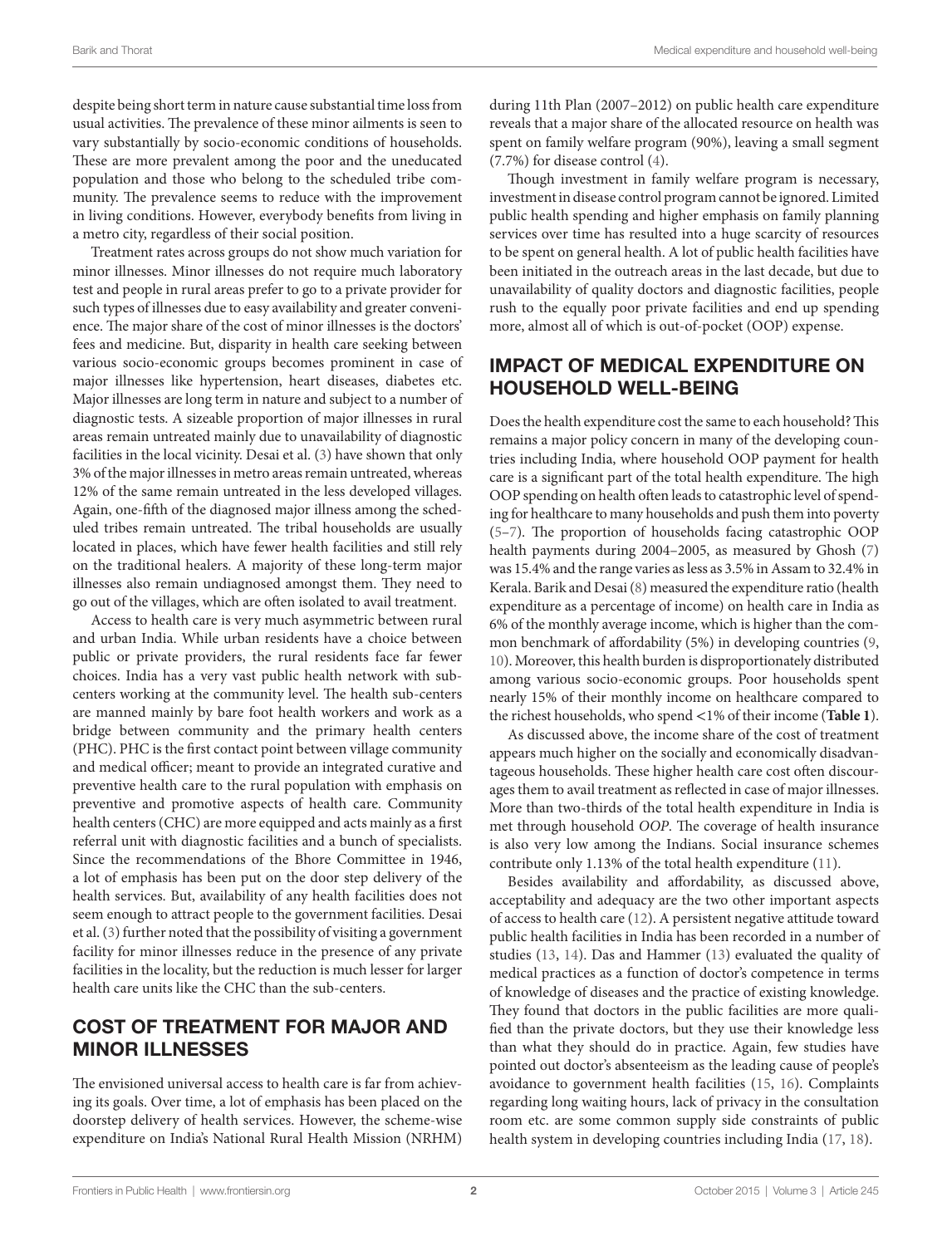despite being short term in nature cause substantial time loss from usual activities. The prevalence of these minor ailments is seen to vary substantially by socio-economic conditions of households. These are more prevalent among the poor and the uneducated population and those who belong to the scheduled tribe community. The prevalence seems to reduce with the improvement in living conditions. However, everybody benefits from living in a metro city, regardless of their social position.

Treatment rates across groups do not show much variation for minor illnesses. Minor illnesses do not require much laboratory test and people in rural areas prefer to go to a private provider for such types of illnesses due to easy availability and greater convenience. The major share of the cost of minor illnesses is the doctors' fees and medicine. But, disparity in health care seeking between various socio-economic groups becomes prominent in case of major illnesses like hypertension, heart diseases, diabetes etc. Major illnesses are long term in nature and subject to a number of diagnostic tests. A sizeable proportion of major illnesses in rural areas remain untreated mainly due to unavailability of diagnostic facilities in the local vicinity. Desai et al. ([3](#page-2-1)) have shown that only 3% of the major illnesses in metro areas remain untreated, whereas 12% of the same remain untreated in the less developed villages. Again, one-fifth of the diagnosed major illness among the scheduled tribes remain untreated. The tribal households are usually located in places, which have fewer health facilities and still rely on the traditional healers. A majority of these long-term major illnesses also remain undiagnosed amongst them. They need to go out of the villages, which are often isolated to avail treatment.

Access to health care is very much asymmetric between rural and urban India. While urban residents have a choice between public or private providers, the rural residents face far fewer choices. India has a very vast public health network with subcenters working at the community level. The health sub-centers are manned mainly by bare foot health workers and work as a bridge between community and the primary health centers (PHC). PHC is the first contact point between village community and medical officer; meant to provide an integrated curative and preventive health care to the rural population with emphasis on preventive and promotive aspects of health care. Community health centers (CHC) are more equipped and acts mainly as a first referral unit with diagnostic facilities and a bunch of specialists. Since the recommendations of the Bhore Committee in 1946, a lot of emphasis has been put on the door step delivery of the health services. But, availability of any health facilities does not seem enough to attract people to the government facilities. Desai et al. [\(3\)](#page-2-1) further noted that the possibility of visiting a government facility for minor illnesses reduce in the presence of any private facilities in the locality, but the reduction is much lesser for larger health care units like the CHC than the sub-centers.

## COST OF TREATMENT FOR MAJOR AND MINOR ILLNESSES

The envisioned universal access to health care is far from achieving its goals. Over time, a lot of emphasis has been placed on the doorstep delivery of health services. However, the scheme-wise expenditure on India's National Rural Health Mission (NRHM)

during 11th Plan (2007–2012) on public health care expenditure reveals that a major share of the allocated resource on health was spent on family welfare program (90%), leaving a small segment (7.7%) for disease control [\(4\)](#page-2-3).

Though investment in family welfare program is necessary, investment in disease control program cannot be ignored. Limited public health spending and higher emphasis on family planning services over time has resulted into a huge scarcity of resources to be spent on general health. A lot of public health facilities have been initiated in the outreach areas in the last decade, but due to unavailability of quality doctors and diagnostic facilities, people rush to the equally poor private facilities and end up spending more, almost all of which is out-of-pocket (OOP) expense.

# IMPACT OF MEDICAL EXPENDITURE ON HOUSEHOLD WELL-BEING

Does the health expenditure cost the same to each household? This remains a major policy concern in many of the developing countries including India, where household OOP payment for health care is a significant part of the total health expenditure. The high OOP spending on health often leads to catastrophic level of spending for healthcare to many households and push them into poverty [\(5–](#page-2-4)[7](#page-2-5)). The proportion of households facing catastrophic OOP health payments during 2004–2005, as measured by Ghosh [\(7\)](#page-2-5) was 15.4% and the range varies as less as 3.5% in Assam to 32.4% in Kerala. Barik and Desai [\(8\)](#page-2-6) measured the expenditure ratio (health expenditure as a percentage of income) on health care in India as 6% of the monthly average income, which is higher than the common benchmark of affordability (5%) in developing countries [\(9,](#page-2-7) [10](#page-2-8)). Moreover, this health burden is disproportionately distributed among various socio-economic groups. Poor households spent nearly 15% of their monthly income on healthcare compared to the richest households, who spend <1% of their income (**[Table 1](#page-2-9)**).

As discussed above, the income share of the cost of treatment appears much higher on the socially and economically disadvantageous households. These higher health care cost often discourages them to avail treatment as reflected in case of major illnesses. More than two-thirds of the total health expenditure in India is met through household *OOP*. The coverage of health insurance is also very low among the Indians. Social insurance schemes contribute only 1.13% of the total health expenditure ([11\)](#page-2-10).

Besides availability and affordability, as discussed above, acceptability and adequacy are the two other important aspects of access to health care ([12](#page-2-11)). A persistent negative attitude toward public health facilities in India has been recorded in a number of studies ([13,](#page-2-12) [14\)](#page-2-13). Das and Hammer ([13\)](#page-2-12) evaluated the quality of medical practices as a function of doctor's competence in terms of knowledge of diseases and the practice of existing knowledge. They found that doctors in the public facilities are more qualified than the private doctors, but they use their knowledge less than what they should do in practice. Again, few studies have pointed out doctor's absenteeism as the leading cause of people's avoidance to government health facilities [\(15](#page-2-14), [16\)](#page-2-15). Complaints regarding long waiting hours, lack of privacy in the consultation room etc. are some common supply side constraints of public health system in developing countries including India ([17,](#page-2-16) [18](#page-2-17)).